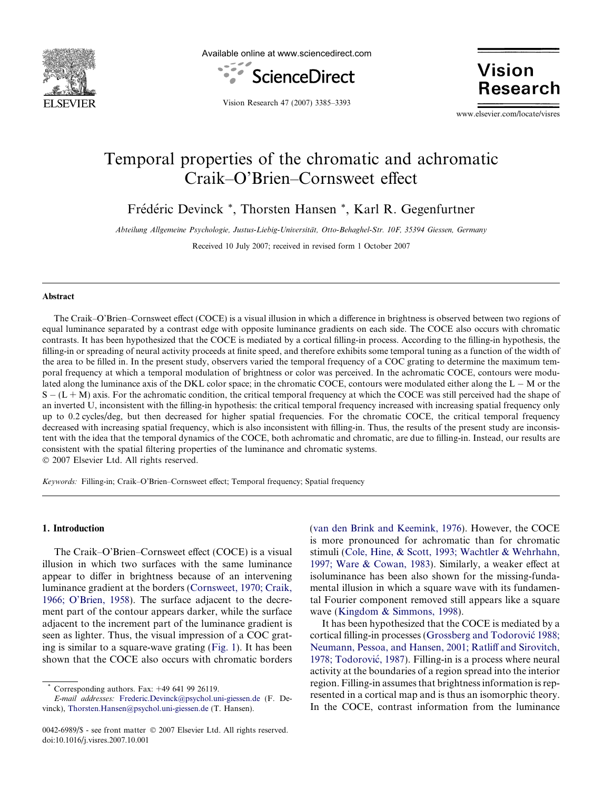

Available online at www.sciencedirect.com



**Vision Research** 

Vision Research 47 (2007) 3385–3393

www.elsevier.com/locate/visres

# Temporal properties of the chromatic and achromatic Craik–O'Brien–Cornsweet effect

Frédéric Devinck \*, Thorsten Hansen \*, Karl R. Gegenfurtner

Abteilung Allgemeine Psychologie, Justus-Liebig-Universität, Otto-Behaghel-Str. 10F, 35394 Giessen, Germany

Received 10 July 2007; received in revised form 1 October 2007

# Abstract

The Craik–O'Brien–Cornsweet effect (COCE) is a visual illusion in which a difference in brightness is observed between two regions of equal luminance separated by a contrast edge with opposite luminance gradients on each side. The COCE also occurs with chromatic contrasts. It has been hypothesized that the COCE is mediated by a cortical filling-in process. According to the filling-in hypothesis, the filling-in or spreading of neural activity proceeds at finite speed, and therefore exhibits some temporal tuning as a function of the width of the area to be filled in. In the present study, observers varied the temporal frequency of a COC grating to determine the maximum temporal frequency at which a temporal modulation of brightness or color was perceived. In the achromatic COCE, contours were modulated along the luminance axis of the DKL color space; in the chromatic COCE, contours were modulated either along the  $L - M$  or the  $S - (L + M)$  axis. For the achromatic condition, the critical temporal frequency at which the COCE was still perceived had the shape of an inverted U, inconsistent with the filling-in hypothesis: the critical temporal frequency increased with increasing spatial frequency only up to 0.2 cycles/deg, but then decreased for higher spatial frequencies. For the chromatic COCE, the critical temporal frequency decreased with increasing spatial frequency, which is also inconsistent with filling-in. Thus, the results of the present study are inconsistent with the idea that the temporal dynamics of the COCE, both achromatic and chromatic, are due to filling-in. Instead, our results are consistent with the spatial filtering properties of the luminance and chromatic systems.  $© 2007 Elsevier Ltd. All rights reserved.$ 

Keywords: Filling-in; Craik–O'Brien–Cornsweet effect; Temporal frequency; Spatial frequency

# 1. Introduction

The Craik–O'Brien–Cornsweet effect (COCE) is a visual illusion in which two surfaces with the same luminance appear to differ in brightness because of an intervening luminance gradient at the borders [\(Cornsweet, 1970; Craik,](#page-7-0) [1966; O'Brien, 1958](#page-7-0)). The surface adjacent to the decrement part of the contour appears darker, while the surface adjacent to the increment part of the luminance gradient is seen as lighter. Thus, the visual impression of a COC grating is similar to a square-wave grating [\(Fig. 1](#page-1-0)). It has been shown that the COCE also occurs with chromatic borders ([van den Brink and Keemink, 1976\)](#page-8-0). However, the COCE is more pronounced for achromatic than for chromatic stimuli ([Cole, Hine, & Scott, 1993; Wachtler & Wehrhahn,](#page-7-0) [1997; Ware & Cowan, 1983](#page-7-0)). Similarly, a weaker effect at isoluminance has been also shown for the missing-fundamental illusion in which a square wave with its fundamental Fourier component removed still appears like a square wave ([Kingdom & Simmons, 1998](#page-8-0)).

It has been hypothesized that the COCE is mediated by a cortical filling-in processes ([Grossberg and Todorovic´](#page-8-0) 1988; [Neumann, Pessoa, and Hansen, 2001; Ratliff and Sirovitch,](#page-8-0) 1978; Todorović, 1987). Filling-in is a process where neural activity at the boundaries of a region spread into the interior region. Filling-in assumes that brightness information is represented in a cortical map and is thus an isomorphic theory. In the COCE, contrast information from the luminance

Corresponding authors. Fax: +49 641 99 26119.

E-mail addresses: [Frederic.Devinck@psychol.uni-giessen.de](mailto:Frederic.Devinck@psychol.uni-giessen.de) (F. Devinck), [Thorsten.Hansen@psychol.uni-giessen.de](mailto:Thorsten.Hansen@psychol.uni-giessen.de) (T. Hansen).

<sup>0042-6989/\$ -</sup> see front matter © 2007 Elsevier Ltd. All rights reserved. doi:10.1016/j.visres.2007.10.001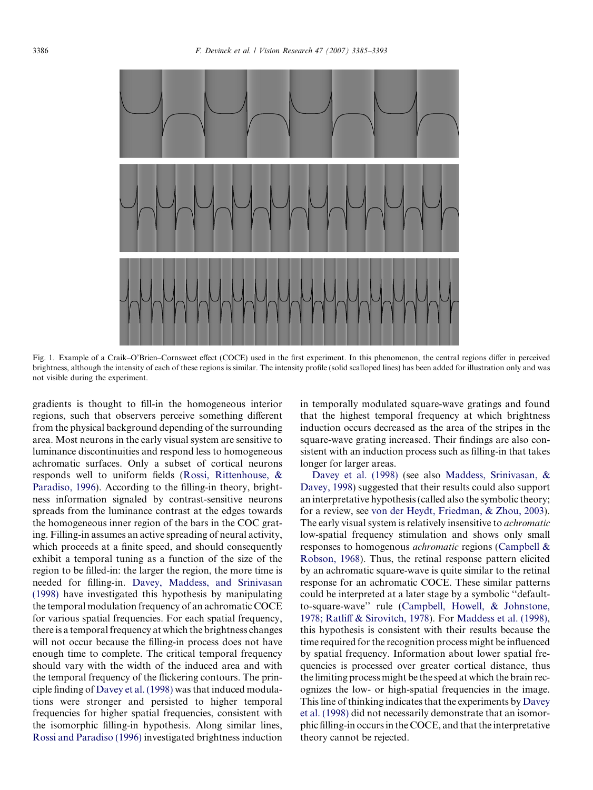<span id="page-1-0"></span>

Fig. 1. Example of a Craik–O'Brien–Cornsweet effect (COCE) used in the first experiment. In this phenomenon, the central regions differ in perceived brightness, although the intensity of each of these regions is similar. The intensity profile (solid scalloped lines) has been added for illustration only and was not visible during the experiment.

gradients is thought to fill-in the homogeneous interior regions, such that observers perceive something different from the physical background depending of the surrounding area. Most neurons in the early visual system are sensitive to luminance discontinuities and respond less to homogeneous achromatic surfaces. Only a subset of cortical neurons responds well to uniform fields [\(Rossi, Rittenhouse, &](#page-8-0) [Paradiso, 1996](#page-8-0)). According to the filling-in theory, brightness information signaled by contrast-sensitive neurons spreads from the luminance contrast at the edges towards the homogeneous inner region of the bars in the COC grating. Filling-in assumes an active spreading of neural activity, which proceeds at a finite speed, and should consequently exhibit a temporal tuning as a function of the size of the region to be filled-in: the larger the region, the more time is needed for filling-in. [Davey, Maddess, and Srinivasan](#page-7-0) [\(1998\)](#page-7-0) have investigated this hypothesis by manipulating the temporal modulation frequency of an achromatic COCE for various spatial frequencies. For each spatial frequency, there is a temporal frequency at which the brightness changes will not occur because the filling-in process does not have enough time to complete. The critical temporal frequency should vary with the width of the induced area and with the temporal frequency of the flickering contours. The principle finding of [Davey et al. \(1998\)](#page-7-0) was that induced modulations were stronger and persisted to higher temporal frequencies for higher spatial frequencies, consistent with the isomorphic filling-in hypothesis. Along similar lines, [Rossi and Paradiso \(1996\)](#page-8-0) investigated brightness induction

in temporally modulated square-wave gratings and found that the highest temporal frequency at which brightness induction occurs decreased as the area of the stripes in the square-wave grating increased. Their findings are also consistent with an induction process such as filling-in that takes longer for larger areas.

[Davey et al. \(1998\)](#page-7-0) (see also [Maddess, Srinivasan, &](#page-8-0) [Davey, 1998](#page-8-0)) suggested that their results could also support an interpretative hypothesis (called also the symbolic theory; for a review, see [von der Heydt, Friedman, & Zhou, 2003\)](#page-8-0). The early visual system is relatively insensitive to *achromatic* low-spatial frequency stimulation and shows only small responses to homogenous achromatic regions ([Campbell &](#page-7-0) [Robson, 1968\)](#page-7-0). Thus, the retinal response pattern elicited by an achromatic square-wave is quite similar to the retinal response for an achromatic COCE. These similar patterns could be interpreted at a later stage by a symbolic ''defaultto-square-wave'' rule ([Campbell, Howell, & Johnstone,](#page-7-0) [1978; Ratliff & Sirovitch, 1978](#page-7-0)). For [Maddess et al. \(1998\)](#page-8-0), this hypothesis is consistent with their results because the time required for the recognition process might be influenced by spatial frequency. Information about lower spatial frequencies is processed over greater cortical distance, thus the limiting process might be the speed at which the brain recognizes the low- or high-spatial frequencies in the image. This line of thinking indicates that the experiments by [Davey](#page-7-0) [et al. \(1998\)](#page-7-0) did not necessarily demonstrate that an isomorphic filling-in occurs in the COCE, and that the interpretative theory cannot be rejected.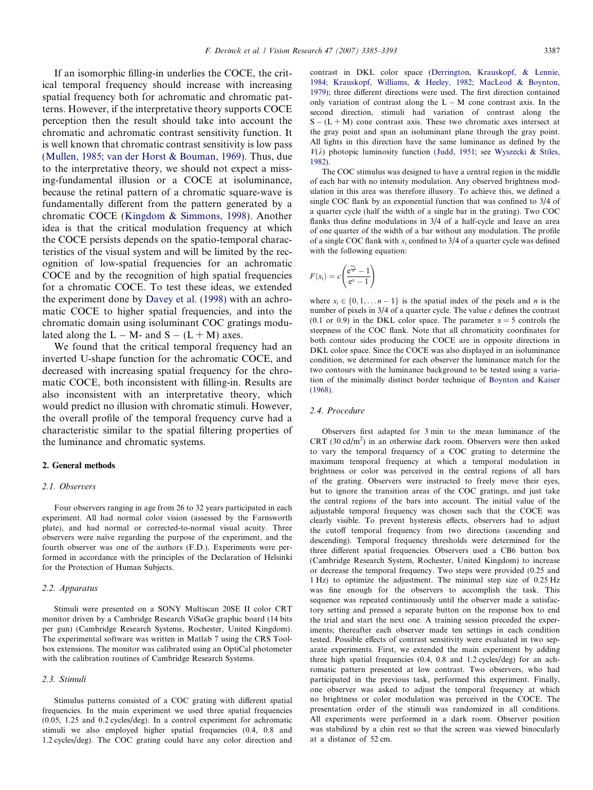If an isomorphic filling-in underlies the COCE, the critical temporal frequency should increase with increasing spatial frequency both for achromatic and chromatic patterns. However, if the interpretative theory supports COCE perception then the result should take into account the chromatic and achromatic contrast sensitivity function. It is well known that chromatic contrast sensitivity is low pass ([Mullen, 1985; van der Horst & Bouman, 1969](#page-8-0)). Thus, due to the interpretative theory, we should not expect a missing-fundamental illusion or a COCE at isoluminance, because the retinal pattern of a chromatic square-wave is fundamentally different from the pattern generated by a chromatic COCE [\(Kingdom & Simmons, 1998\)](#page-8-0). Another idea is that the critical modulation frequency at which the COCE persists depends on the spatio-temporal characteristics of the visual system and will be limited by the recognition of low-spatial frequencies for an achromatic COCE and by the recognition of high spatial frequencies for a chromatic COCE. To test these ideas, we extended the experiment done by [Davey et al. \(1998\)](#page-7-0) with an achromatic COCE to higher spatial frequencies, and into the chromatic domain using isoluminant COC gratings modulated along the  $L - M$ - and  $S - (L + M)$  axes.

We found that the critical temporal frequency had an inverted U-shape function for the achromatic COCE, and decreased with increasing spatial frequency for the chromatic COCE, both inconsistent with filling-in. Results are also inconsistent with an interpretative theory, which would predict no illusion with chromatic stimuli. However, the overall profile of the temporal frequency curve had a characteristic similar to the spatial filtering properties of the luminance and chromatic systems.

# 2. General methods

# 2.1. Observers

Four observers ranging in age from 26 to 32 years participated in each experiment. All had normal color vision (assessed by the Farnsworth plate), and had normal or corrected-to-normal visual acuity. Three observers were naïve regarding the purpose of the experiment, and the fourth observer was one of the authors (F.D.). Experiments were performed in accordance with the principles of the Declaration of Helsinki for the Protection of Human Subjects.

# 2.2. Apparatus

Stimuli were presented on a SONY Multiscan 20SE II color CRT monitor driven by a Cambridge Research ViSaGe graphic board (14 bits per gun) (Cambridge Research Systems, Rochester, United Kingdom). The experimental software was written in Matlab 7 using the CRS Toolbox extensions. The monitor was calibrated using an OptiCal photometer with the calibration routines of Cambridge Research Systems.

# 2.3. Stimuli

Stimulus patterns consisted of a COC grating with different spatial frequencies. In the main experiment we used three spatial frequencies (0.05, 1.25 and 0.2 cycles/deg). In a control experiment for achromatic stimuli we also employed higher spatial frequencies (0.4, 0.8 and 1.2 cycles/deg). The COC grating could have any color direction and contrast in DKL color space [\(Derrington, Krauskopf, & Lennie,](#page-7-0) [1984; Krauskopf, Williams, & Heeley, 1982; MacLeod & Boynton,](#page-7-0) [1979](#page-7-0)); three different directions were used. The first direction contained only variation of contrast along the  $L - M$  cone contrast axis. In the second direction, stimuli had variation of contrast along the  $S - (L + M)$  cone contrast axis. These two chromatic axes intersect at the gray point and span an isoluminant plane through the gray point. All lights in this direction have the same luminance as defined by the  $V(\lambda)$  photopic luminosity function ([Judd, 1951](#page-8-0); see [Wyszecki & Stiles,](#page-8-0) [1982](#page-8-0)).

The COC stimulus was designed to have a central region in the middle of each bar with no intensity modulation. Any observed brightness modulation in this area was therefore illusory. To achieve this, we defined a single COC flank by an exponential function that was confined to 3/4 of a quarter cycle (half the width of a single bar in the grating). Two COC flanks thus define modulations in 3/4 of a half-cycle and leave an area of one quarter of the width of a bar without any modulation. The profile of a single COC flank with  $x_i$  confined to 3/4 of a quarter cycle was defined with the following equation:

$$
F(x_i) = c \left( \frac{e^{\frac{\alpha x_i}{n}} - 1}{e^{\alpha} - 1} \right)
$$

where  $x_i \in \{0, 1, \dots n - 1\}$  is the spatial index of the pixels and *n* is the number of pixels in  $3/4$  of a quarter cycle. The value c defines the contrast (0.1 or 0.9) in the DKL color space. The parameter  $\alpha = 5$  controls the steepness of the COC flank. Note that all chromaticity coordinates for both contour sides producing the COCE are in opposite directions in DKL color space. Since the COCE was also displayed in an isoluminance condition, we determined for each observer the luminance match for the two contours with the luminance background to be tested using a variation of the minimally distinct border technique of [Boynton and Kaiser](#page-7-0) [\(1968\).](#page-7-0)

#### 2.4. Procedure

Observers first adapted for 3 min to the mean luminance of the CRT  $(30 \text{ cd/m}^2)$  in an otherwise dark room. Observers were then asked to vary the temporal frequency of a COC grating to determine the maximum temporal frequency at which a temporal modulation in brightness or color was perceived in the central regions of all bars of the grating. Observers were instructed to freely move their eyes, but to ignore the transition areas of the COC gratings, and just take the central regions of the bars into account. The initial value of the adjustable temporal frequency was chosen such that the COCE was clearly visible. To prevent hysteresis effects, observers had to adjust the cutoff temporal frequency from two directions (ascending and descending). Temporal frequency thresholds were determined for the three different spatial frequencies. Observers used a CB6 button box (Cambridge Research System, Rochester, United Kingdom) to increase or decrease the temporal frequency. Two steps were provided (0.25 and 1 Hz) to optimize the adjustment. The minimal step size of 0.25 Hz was fine enough for the observers to accomplish the task. This sequence was repeated continuously until the observer made a satisfactory setting and pressed a separate button on the response box to end the trial and start the next one. A training session preceded the experiments; thereafter each observer made ten settings in each condition tested. Possible effects of contrast sensitivity were evaluated in two separate experiments. First, we extended the main experiment by adding three high spatial frequencies (0.4, 0.8 and 1.2 cycles/deg) for an achromatic pattern presented at low contrast. Two observers, who had participated in the previous task, performed this experiment. Finally, one observer was asked to adjust the temporal frequency at which no brightness or color modulation was perceived in the COCE. The presentation order of the stimuli was randomized in all conditions. All experiments were performed in a dark room. Observer position was stabilized by a chin rest so that the screen was viewed binocularly at a distance of 52 cm.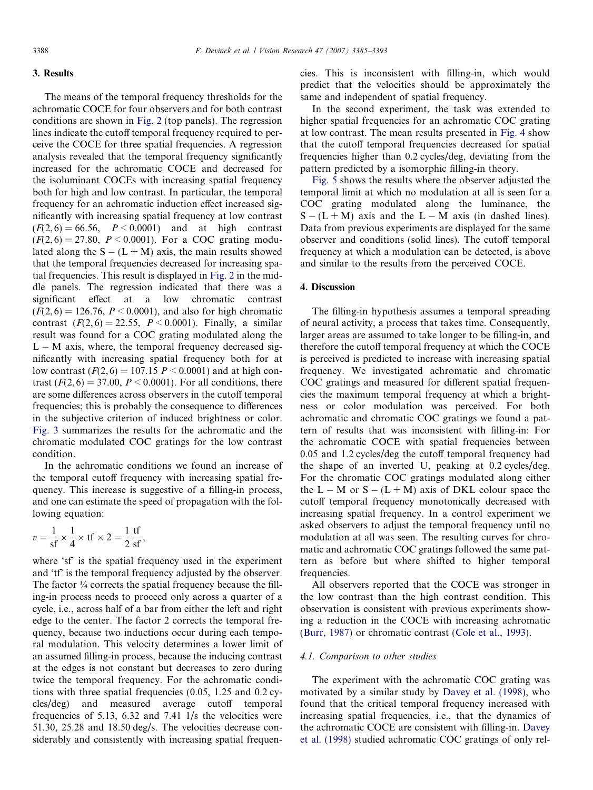# 3. Results

The means of the temporal frequency thresholds for the achromatic COCE for four observers and for both contrast conditions are shown in [Fig. 2](#page-4-0) (top panels). The regression lines indicate the cutoff temporal frequency required to perceive the COCE for three spatial frequencies. A regression analysis revealed that the temporal frequency significantly increased for the achromatic COCE and decreased for the isoluminant COCEs with increasing spatial frequency both for high and low contrast. In particular, the temporal frequency for an achromatic induction effect increased significantly with increasing spatial frequency at low contrast  $(F(2, 6) = 66.56, P < 0.0001)$  and at high contrast  $(F(2, 6) = 27.80, P \le 0.0001)$ . For a COC grating modulated along the  $S - (L + M)$  axis, the main results showed that the temporal frequencies decreased for increasing spatial frequencies. This result is displayed in [Fig. 2](#page-4-0) in the middle panels. The regression indicated that there was a significant effect at a low chromatic contrast  $(F(2, 6) = 126.76, P \le 0.0001)$ , and also for high chromatic contrast  $(F(2, 6) = 22.55, P \le 0.0001)$ . Finally, a similar result was found for a COC grating modulated along the L – M axis, where, the temporal frequency decreased significantly with increasing spatial frequency both for at low contrast  $(F(2, 6) = 107.15 \text{ } P \le 0.0001)$  and at high contrast ( $F(2, 6) = 37.00$ ,  $P \le 0.0001$ ). For all conditions, there are some differences across observers in the cutoff temporal frequencies; this is probably the consequence to differences in the subjective criterion of induced brightness or color. [Fig. 3](#page-5-0) summarizes the results for the achromatic and the chromatic modulated COC gratings for the low contrast condition.

In the achromatic conditions we found an increase of the temporal cutoff frequency with increasing spatial frequency. This increase is suggestive of a filling-in process, and one can estimate the speed of propagation with the following equation:

$$
v = \frac{1}{\text{sf}} \times \frac{1}{4} \times \text{tf} \times 2 = \frac{1}{2} \frac{\text{tf}}{\text{sf}},
$$

where 'sf' is the spatial frequency used in the experiment and 'tf' is the temporal frequency adjusted by the observer. The factor ¼ corrects the spatial frequency because the filling-in process needs to proceed only across a quarter of a cycle, i.e., across half of a bar from either the left and right edge to the center. The factor 2 corrects the temporal frequency, because two inductions occur during each temporal modulation. This velocity determines a lower limit of an assumed filling-in process, because the inducing contrast at the edges is not constant but decreases to zero during twice the temporal frequency. For the achromatic conditions with three spatial frequencies (0.05, 1.25 and 0.2 cycles/deg) and measured average cutoff temporal frequencies of 5.13, 6.32 and 7.41 1/s the velocities were 51.30, 25.28 and 18.50 deg/s. The velocities decrease considerably and consistently with increasing spatial frequencies. This is inconsistent with filling-in, which would predict that the velocities should be approximately the same and independent of spatial frequency.

In the second experiment, the task was extended to higher spatial frequencies for an achromatic COC grating at low contrast. The mean results presented in [Fig. 4](#page-5-0) show that the cutoff temporal frequencies decreased for spatial frequencies higher than 0.2 cycles/deg, deviating from the pattern predicted by a isomorphic filling-in theory.

[Fig. 5](#page-6-0) shows the results where the observer adjusted the temporal limit at which no modulation at all is seen for a COC grating modulated along the luminance, the  $S - (L + M)$  axis and the  $L - M$  axis (in dashed lines). Data from previous experiments are displayed for the same observer and conditions (solid lines). The cutoff temporal frequency at which a modulation can be detected, is above and similar to the results from the perceived COCE.

# 4. Discussion

The filling-in hypothesis assumes a temporal spreading of neural activity, a process that takes time. Consequently, larger areas are assumed to take longer to be filling-in, and therefore the cutoff temporal frequency at which the COCE is perceived is predicted to increase with increasing spatial frequency. We investigated achromatic and chromatic COC gratings and measured for different spatial frequencies the maximum temporal frequency at which a brightness or color modulation was perceived. For both achromatic and chromatic COC gratings we found a pattern of results that was inconsistent with filling-in: For the achromatic COCE with spatial frequencies between 0.05 and 1.2 cycles/deg the cutoff temporal frequency had the shape of an inverted U, peaking at 0.2 cycles/deg. For the chromatic COC gratings modulated along either the  $L - M$  or  $S - (L + M)$  axis of DKL colour space the cutoff temporal frequency monotonically decreased with increasing spatial frequency. In a control experiment we asked observers to adjust the temporal frequency until no modulation at all was seen. The resulting curves for chromatic and achromatic COC gratings followed the same pattern as before but where shifted to higher temporal frequencies.

All observers reported that the COCE was stronger in the low contrast than the high contrast condition. This observation is consistent with previous experiments showing a reduction in the COCE with increasing achromatic [\(Burr, 1987\)](#page-7-0) or chromatic contrast ([Cole et al., 1993](#page-7-0)).

# 4.1. Comparison to other studies

The experiment with the achromatic COC grating was motivated by a similar study by [Davey et al. \(1998\)](#page-7-0), who found that the critical temporal frequency increased with increasing spatial frequencies, i.e., that the dynamics of the achromatic COCE are consistent with filling-in. [Davey](#page-7-0) [et al. \(1998\)](#page-7-0) studied achromatic COC gratings of only rel-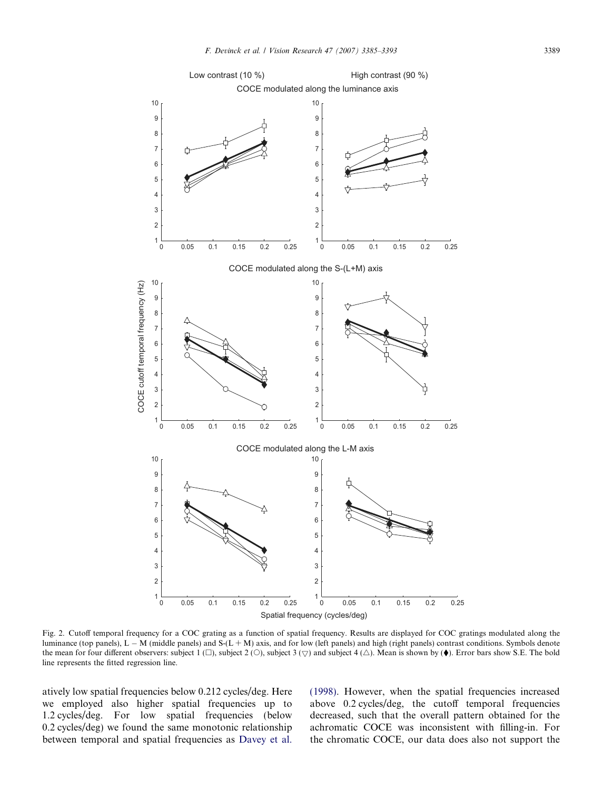<span id="page-4-0"></span>

Fig. 2. Cutoff temporal frequency for a COC grating as a function of spatial frequency. Results are displayed for COC gratings modulated along the luminance (top panels),  $L - M$  (middle panels) and  $S(L + M)$  axis, and for low (left panels) and high (right panels) contrast conditions. Symbols denote the mean for four different observers: subject 1 ( $\square$ ), subject 2 ( $\bigcirc$ ), subject 3 ( $\bigtriangledown$ ) and subject 4 ( $\triangle$ ). Mean is shown by ( $\bigtriangleup$ ). Error bars show S.E. The bold line represents the fitted regression line.

atively low spatial frequencies below 0.212 cycles/deg. Here we employed also higher spatial frequencies up to 1.2 cycles/deg. For low spatial frequencies (below 0.2 cycles/deg) we found the same monotonic relationship between temporal and spatial frequencies as [Davey et al.](#page-7-0) [\(1998\)](#page-7-0). However, when the spatial frequencies increased above 0.2 cycles/deg, the cutoff temporal frequencies decreased, such that the overall pattern obtained for the achromatic COCE was inconsistent with filling-in. For the chromatic COCE, our data does also not support the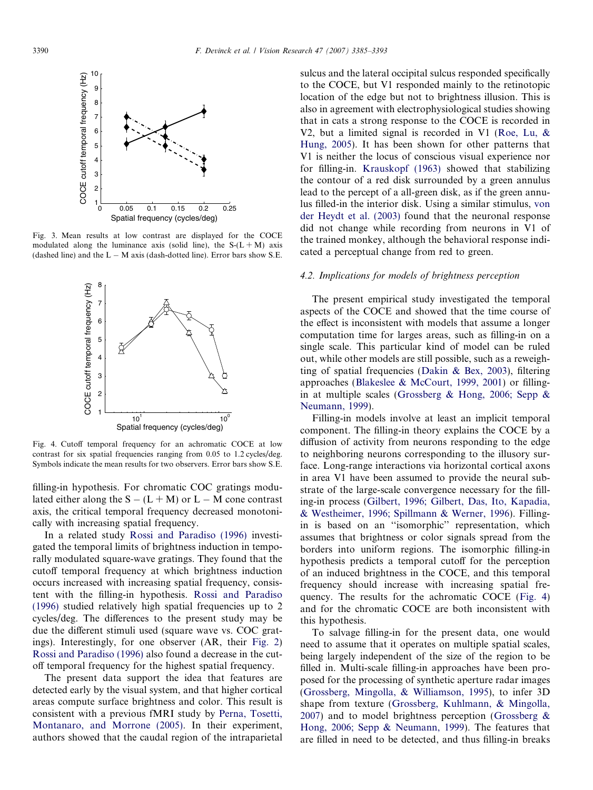<span id="page-5-0"></span>

Fig. 3. Mean results at low contrast are displayed for the COCE modulated along the luminance axis (solid line), the  $S(L+M)$  axis (dashed line) and the  $L - M$  axis (dash-dotted line). Error bars show S.E.



Fig. 4. Cutoff temporal frequency for an achromatic COCE at low contrast for six spatial frequencies ranging from 0.05 to 1.2 cycles/deg. Symbols indicate the mean results for two observers. Error bars show S.E.

filling-in hypothesis. For chromatic COC gratings modulated either along the S –  $(L+M)$  or  $L-M$  cone contrast axis, the critical temporal frequency decreased monotonically with increasing spatial frequency.

In a related study [Rossi and Paradiso \(1996\)](#page-8-0) investigated the temporal limits of brightness induction in temporally modulated square-wave gratings. They found that the cutoff temporal frequency at which brightness induction occurs increased with increasing spatial frequency, consistent with the filling-in hypothesis. [Rossi and Paradiso](#page-8-0) [\(1996\)](#page-8-0) studied relatively high spatial frequencies up to 2 cycles/deg. The differences to the present study may be due the different stimuli used (square wave vs. COC gratings). Interestingly, for one observer (AR, their [Fig. 2](#page-4-0)) [Rossi and Paradiso \(1996\)](#page-8-0) also found a decrease in the cutoff temporal frequency for the highest spatial frequency.

The present data support the idea that features are detected early by the visual system, and that higher cortical areas compute surface brightness and color. This result is consistent with a previous fMRI study by [Perna, Tosetti,](#page-8-0) [Montanaro, and Morrone \(2005\).](#page-8-0) In their experiment, authors showed that the caudal region of the intraparietal

sulcus and the lateral occipital sulcus responded specifically to the COCE, but V1 responded mainly to the retinotopic location of the edge but not to brightness illusion. This is also in agreement with electrophysiological studies showing that in cats a strong response to the COCE is recorded in V2, but a limited signal is recorded in V1 [\(Roe, Lu, &](#page-8-0) [Hung, 2005](#page-8-0)). It has been shown for other patterns that V1 is neither the locus of conscious visual experience nor for filling-in. [Krauskopf \(1963\)](#page-8-0) showed that stabilizing the contour of a red disk surrounded by a green annulus lead to the percept of a all-green disk, as if the green annulus filled-in the interior disk. Using a similar stimulus, [von](#page-8-0) [der Heydt et al. \(2003\)](#page-8-0) found that the neuronal response did not change while recording from neurons in V1 of the trained monkey, although the behavioral response indicated a perceptual change from red to green.

# 4.2. Implications for models of brightness perception

The present empirical study investigated the temporal aspects of the COCE and showed that the time course of the effect is inconsistent with models that assume a longer computation time for larges areas, such as filling-in on a single scale. This particular kind of model can be ruled out, while other models are still possible, such as a reweighting of spatial frequencies [\(Dakin & Bex, 2003](#page-7-0)), filtering approaches [\(Blakeslee & McCourt, 1999, 2001\)](#page-7-0) or fillingin at multiple scales [\(Grossberg & Hong, 2006; Sepp &](#page-8-0) [Neumann, 1999\)](#page-8-0).

Filling-in models involve at least an implicit temporal component. The filling-in theory explains the COCE by a diffusion of activity from neurons responding to the edge to neighboring neurons corresponding to the illusory surface. Long-range interactions via horizontal cortical axons in area V1 have been assumed to provide the neural substrate of the large-scale convergence necessary for the filling-in process ([Gilbert, 1996; Gilbert, Das, Ito, Kapadia,](#page-8-0) [& Westheimer, 1996; Spillmann & Werner, 1996\)](#page-8-0). Fillingin is based on an ''isomorphic'' representation, which assumes that brightness or color signals spread from the borders into uniform regions. The isomorphic filling-in hypothesis predicts a temporal cutoff for the perception of an induced brightness in the COCE, and this temporal frequency should increase with increasing spatial frequency. The results for the achromatic COCE (Fig. 4) and for the chromatic COCE are both inconsistent with this hypothesis.

To salvage filling-in for the present data, one would need to assume that it operates on multiple spatial scales, being largely independent of the size of the region to be filled in. Multi-scale filling-in approaches have been proposed for the processing of synthetic aperture radar images [\(Grossberg, Mingolla, & Williamson, 1995](#page-8-0)), to infer 3D shape from texture ([Grossberg, Kuhlmann, & Mingolla,](#page-8-0) [2007\)](#page-8-0) and to model brightness perception [\(Grossberg &](#page-8-0) [Hong, 2006; Sepp & Neumann, 1999](#page-8-0)). The features that are filled in need to be detected, and thus filling-in breaks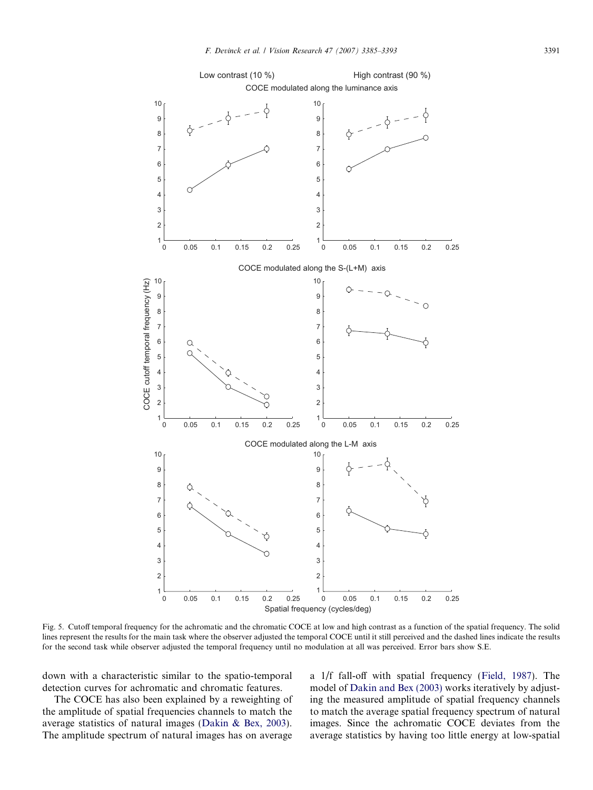<span id="page-6-0"></span>

Fig. 5. Cutoff temporal frequency for the achromatic and the chromatic COCE at low and high contrast as a function of the spatial frequency. The solid lines represent the results for the main task where the observer adjusted the temporal COCE until it still perceived and the dashed lines indicate the results for the second task while observer adjusted the temporal frequency until no modulation at all was perceived. Error bars show S.E.

down with a characteristic similar to the spatio-temporal detection curves for achromatic and chromatic features.

The COCE has also been explained by a reweighting of the amplitude of spatial frequencies channels to match the average statistics of natural images ([Dakin & Bex, 2003\)](#page-7-0). The amplitude spectrum of natural images has on average a 1/f fall-off with spatial frequency ([Field, 1987](#page-7-0)). The model of [Dakin and Bex \(2003\)](#page-7-0) works iteratively by adjusting the measured amplitude of spatial frequency channels to match the average spatial frequency spectrum of natural images. Since the achromatic COCE deviates from the average statistics by having too little energy at low-spatial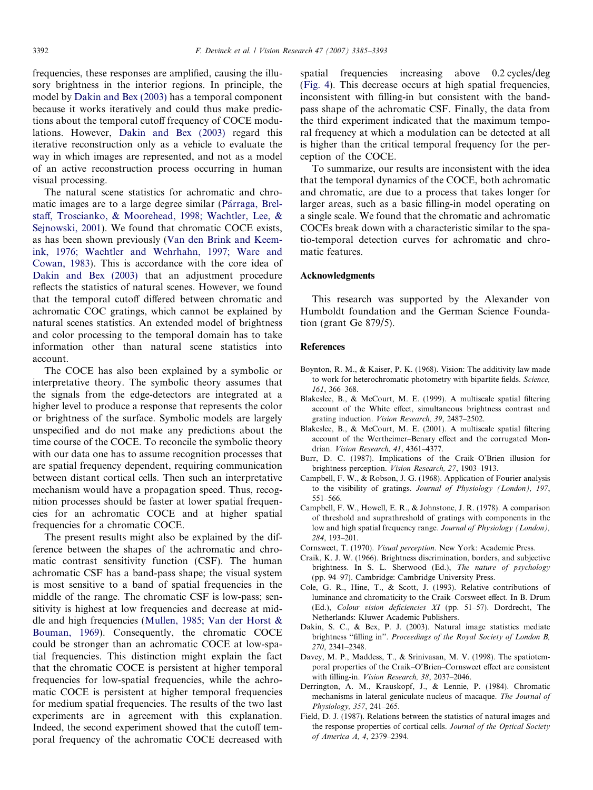<span id="page-7-0"></span>frequencies, these responses are amplified, causing the illusory brightness in the interior regions. In principle, the model by Dakin and Bex (2003) has a temporal component because it works iteratively and could thus make predictions about the temporal cutoff frequency of COCE modulations. However, Dakin and Bex (2003) regard this iterative reconstruction only as a vehicle to evaluate the way in which images are represented, and not as a model of an active reconstruction process occurring in human visual processing.

The natural scene statistics for achromatic and chromatic images are to a large degree similar (Párraga, Brel[staff, Troscianko, & Moorehead, 1998; Wachtler, Lee, &](#page-8-0) [Sejnowski, 2001\)](#page-8-0). We found that chromatic COCE exists, as has been shown previously ([Van den Brink and Keem](#page-8-0)[ink, 1976; Wachtler and Wehrhahn, 1997; Ware and](#page-8-0) [Cowan, 1983](#page-8-0)). This is accordance with the core idea of Dakin and Bex (2003) that an adjustment procedure reflects the statistics of natural scenes. However, we found that the temporal cutoff differed between chromatic and achromatic COC gratings, which cannot be explained by natural scenes statistics. An extended model of brightness and color processing to the temporal domain has to take information other than natural scene statistics into account.

The COCE has also been explained by a symbolic or interpretative theory. The symbolic theory assumes that the signals from the edge-detectors are integrated at a higher level to produce a response that represents the color or brightness of the surface. Symbolic models are largely unspecified and do not make any predictions about the time course of the COCE. To reconcile the symbolic theory with our data one has to assume recognition processes that are spatial frequency dependent, requiring communication between distant cortical cells. Then such an interpretative mechanism would have a propagation speed. Thus, recognition processes should be faster at lower spatial frequencies for an achromatic COCE and at higher spatial frequencies for a chromatic COCE.

The present results might also be explained by the difference between the shapes of the achromatic and chromatic contrast sensitivity function (CSF). The human achromatic CSF has a band-pass shape; the visual system is most sensitive to a band of spatial frequencies in the middle of the range. The chromatic CSF is low-pass; sensitivity is highest at low frequencies and decrease at middle and high frequencies ([Mullen, 1985; Van der Horst &](#page-8-0) [Bouman, 1969\)](#page-8-0). Consequently, the chromatic COCE could be stronger than an achromatic COCE at low-spatial frequencies. This distinction might explain the fact that the chromatic COCE is persistent at higher temporal frequencies for low-spatial frequencies, while the achromatic COCE is persistent at higher temporal frequencies for medium spatial frequencies. The results of the two last experiments are in agreement with this explanation. Indeed, the second experiment showed that the cutoff temporal frequency of the achromatic COCE decreased with spatial frequencies increasing above 0.2 cycles/deg [\(Fig. 4](#page-5-0)). This decrease occurs at high spatial frequencies, inconsistent with filling-in but consistent with the bandpass shape of the achromatic CSF. Finally, the data from the third experiment indicated that the maximum temporal frequency at which a modulation can be detected at all is higher than the critical temporal frequency for the perception of the COCE.

To summarize, our results are inconsistent with the idea that the temporal dynamics of the COCE, both achromatic and chromatic, are due to a process that takes longer for larger areas, such as a basic filling-in model operating on a single scale. We found that the chromatic and achromatic COCEs break down with a characteristic similar to the spatio-temporal detection curves for achromatic and chromatic features.

## Acknowledgments

This research was supported by the Alexander von Humboldt foundation and the German Science Foundation (grant Ge 879/5).

# References

- Boynton, R. M., & Kaiser, P. K. (1968). Vision: The additivity law made to work for heterochromatic photometry with bipartite fields. Science, 161, 366–368.
- Blakeslee, B., & McCourt, M. E. (1999). A multiscale spatial filtering account of the White effect, simultaneous brightness contrast and grating induction. Vision Research, 39, 2487–2502.
- Blakeslee, B., & McCourt, M. E. (2001). A multiscale spatial filtering account of the Wertheimer–Benary effect and the corrugated Mondrian. Vision Research, 41, 4361–4377.
- Burr, D. C. (1987). Implications of the Craik–O'Brien illusion for brightness perception. Vision Research, 27, 1903–1913.
- Campbell, F. W., & Robson, J. G. (1968). Application of Fourier analysis to the visibility of gratings. Journal of Physiology (London), 197, 551–566.
- Campbell, F. W., Howell, E. R., & Johnstone, J. R. (1978). A comparison of threshold and suprathreshold of gratings with components in the low and high spatial frequency range. Journal of Physiology (London), 284, 193–201.
- Cornsweet, T. (1970). Visual perception. New York: Academic Press.
- Craik, K. J. W. (1966). Brightness discrimination, borders, and subjective brightness. In S. L. Sherwood (Ed.), The nature of psychology (pp. 94–97). Cambridge: Cambridge University Press.
- Cole, G. R., Hine, T., & Scott, J. (1993). Relative contributions of luminance and chromaticity to the Craik–Corsweet effect. In B. Drum (Ed.), Colour vision deficiencies XI (pp. 51–57). Dordrecht, The Netherlands: Kluwer Academic Publishers.
- Dakin, S. C., & Bex, P. J. (2003). Natural image statistics mediate brightness ''filling in''. Proceedings of the Royal Society of London B, 270, 2341–2348.
- Davey, M. P., Maddess, T., & Srinivasan, M. V. (1998). The spatiotemporal properties of the Craik–O'Brien–Cornsweet effect are consistent with filling-in. Vision Research, 38, 2037–2046.
- Derrington, A. M., Krauskopf, J., & Lennie, P. (1984). Chromatic mechanisms in lateral geniculate nucleus of macaque. The Journal of Physiology, 357, 241–265.
- Field, D. J. (1987). Relations between the statistics of natural images and the response properties of cortical cells. Journal of the Optical Society of America A, 4, 2379–2394.